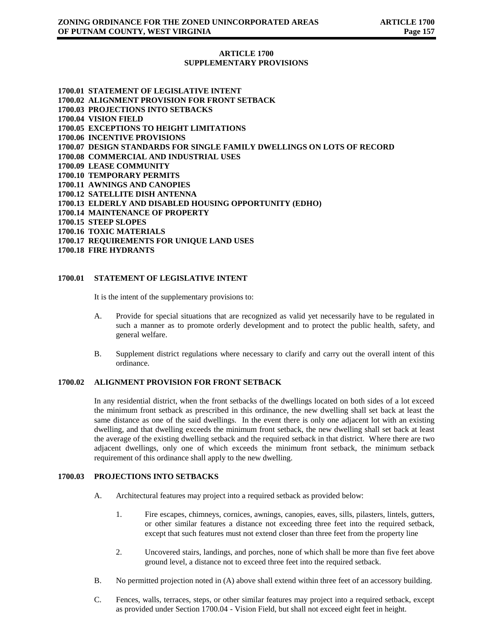# **ARTICLE 1700 SUPPLEMENTARY PROVISIONS**

**1700.01 STATEMENT OF LEGISLATIVE INTENT 1700.02 ALIGNMENT PROVISION FOR FRONT SETBACK 1700.03 PROJECTIONS INTO SETBACKS 1700.04 VISION FIELD 1700.05 EXCEPTIONS TO HEIGHT LIMITATIONS 1700.06 INCENTIVE PROVISIONS 1700.07 DESIGN STANDARDS FOR SINGLE FAMILY DWELLINGS ON LOTS OF RECORD 1700.08 COMMERCIAL AND INDUSTRIAL USES 1700.09 LEASE COMMUNITY 1700.10 TEMPORARY PERMITS 1700.11 AWNINGS AND CANOPIES 1700.12 SATELLITE DISH ANTENNA 1700.13 ELDERLY AND DISABLED HOUSING OPPORTUNITY (EDHO) 1700.14 MAINTENANCE OF PROPERTY 1700.15 STEEP SLOPES 1700.16 TOXIC MATERIALS 1700.17 REQUIREMENTS FOR UNIQUE LAND USES 1700.18 FIRE HYDRANTS**

# **1700.01 STATEMENT OF LEGISLATIVE INTENT**

It is the intent of the supplementary provisions to:

- A. Provide for special situations that are recognized as valid yet necessarily have to be regulated in such a manner as to promote orderly development and to protect the public health, safety, and general welfare.
- B. Supplement district regulations where necessary to clarify and carry out the overall intent of this ordinance.

### **1700.02 ALIGNMENT PROVISION FOR FRONT SETBACK**

In any residential district, when the front setbacks of the dwellings located on both sides of a lot exceed the minimum front setback as prescribed in this ordinance, the new dwelling shall set back at least the same distance as one of the said dwellings. In the event there is only one adjacent lot with an existing dwelling, and that dwelling exceeds the minimum front setback, the new dwelling shall set back at least the average of the existing dwelling setback and the required setback in that district. Where there are two adjacent dwellings, only one of which exceeds the minimum front setback, the minimum setback requirement of this ordinance shall apply to the new dwelling.

# **1700.03 PROJECTIONS INTO SETBACKS**

- A. Architectural features may project into a required setback as provided below:
	- 1. Fire escapes, chimneys, cornices, awnings, canopies, eaves, sills, pilasters, lintels, gutters, or other similar features a distance not exceeding three feet into the required setback, except that such features must not extend closer than three feet from the property line
	- 2. Uncovered stairs, landings, and porches, none of which shall be more than five feet above ground level, a distance not to exceed three feet into the required setback.
- B. No permitted projection noted in (A) above shall extend within three feet of an accessory building.
- C. Fences, walls, terraces, steps, or other similar features may project into a required setback, except as provided under Section 1700.04 - Vision Field, but shall not exceed eight feet in height.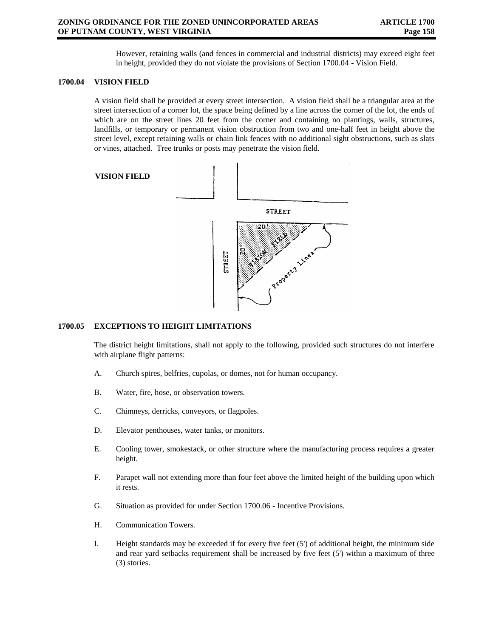However, retaining walls (and fences in commercial and industrial districts) may exceed eight feet in height, provided they do not violate the provisions of Section 1700.04 - Vision Field.

### **1700.04 VISION FIELD**

A vision field shall be provided at every street intersection. A vision field shall be a triangular area at the street intersection of a corner lot, the space being defined by a line across the corner of the lot, the ends of which are on the street lines 20 feet from the corner and containing no plantings, walls, structures, landfills, or temporary or permanent vision obstruction from two and one-half feet in height above the street level, except retaining walls or chain link fences with no additional sight obstructions, such as slats or vines, attached. Tree trunks or posts may penetrate the vision field.



### **1700.05 EXCEPTIONS TO HEIGHT LIMITATIONS**

The district height limitations, shall not apply to the following, provided such structures do not interfere with airplane flight patterns:

- A. Church spires, belfries, cupolas, or domes, not for human occupancy.
- B. Water, fire, hose, or observation towers.
- C. Chimneys, derricks, conveyors, or flagpoles.
- D. Elevator penthouses, water tanks, or monitors.
- E. Cooling tower, smokestack, or other structure where the manufacturing process requires a greater height.
- F. Parapet wall not extending more than four feet above the limited height of the building upon which it rests.
- G. Situation as provided for under Section 1700.06 Incentive Provisions.
- H. Communication Towers.
- I. Height standards may be exceeded if for every five feet (5') of additional height, the minimum side and rear yard setbacks requirement shall be increased by five feet (5') within a maximum of three (3) stories.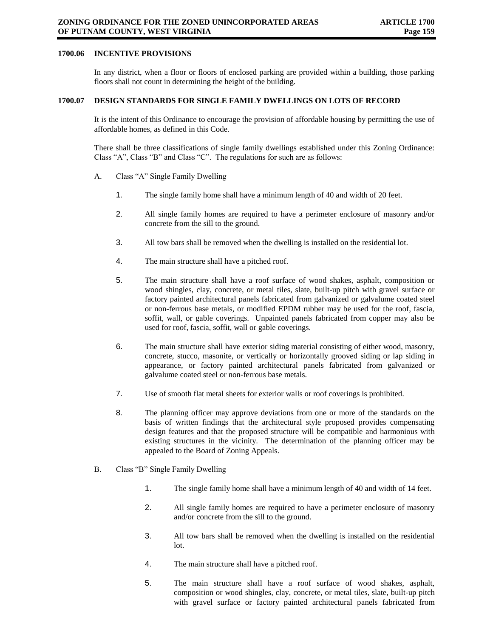## **1700.06 INCENTIVE PROVISIONS**

In any district, when a floor or floors of enclosed parking are provided within a building, those parking floors shall not count in determining the height of the building.

### **1700.07 DESIGN STANDARDS FOR SINGLE FAMILY DWELLINGS ON LOTS OF RECORD**

It is the intent of this Ordinance to encourage the provision of affordable housing by permitting the use of affordable homes, as defined in this Code.

There shall be three classifications of single family dwellings established under this Zoning Ordinance: Class "A", Class "B" and Class "C". The regulations for such are as follows:

- A. Class "A" Single Family Dwelling
	- 1. The single family home shall have a minimum length of 40 and width of 20 feet.
	- 2. All single family homes are required to have a perimeter enclosure of masonry and/or concrete from the sill to the ground.
	- 3. All tow bars shall be removed when the dwelling is installed on the residential lot.
	- 4. The main structure shall have a pitched roof.
	- 5. The main structure shall have a roof surface of wood shakes, asphalt, composition or wood shingles, clay, concrete, or metal tiles, slate, built-up pitch with gravel surface or factory painted architectural panels fabricated from galvanized or galvalume coated steel or non-ferrous base metals, or modified EPDM rubber may be used for the roof, fascia, soffit, wall, or gable coverings. Unpainted panels fabricated from copper may also be used for roof, fascia, soffit, wall or gable coverings.
	- 6. The main structure shall have exterior siding material consisting of either wood, masonry, concrete, stucco, masonite, or vertically or horizontally grooved siding or lap siding in appearance, or factory painted architectural panels fabricated from galvanized or galvalume coated steel or non-ferrous base metals.
	- 7. Use of smooth flat metal sheets for exterior walls or roof coverings is prohibited.
	- 8. The planning officer may approve deviations from one or more of the standards on the basis of written findings that the architectural style proposed provides compensating design features and that the proposed structure will be compatible and harmonious with existing structures in the vicinity. The determination of the planning officer may be appealed to the Board of Zoning Appeals.
- B. Class "B" Single Family Dwelling
	- 1. The single family home shall have a minimum length of 40 and width of 14 feet.
	- 2. All single family homes are required to have a perimeter enclosure of masonry and/or concrete from the sill to the ground.
	- 3. All tow bars shall be removed when the dwelling is installed on the residential lot.
	- 4. The main structure shall have a pitched roof.
	- 5. The main structure shall have a roof surface of wood shakes, asphalt, composition or wood shingles, clay, concrete, or metal tiles, slate, built-up pitch with gravel surface or factory painted architectural panels fabricated from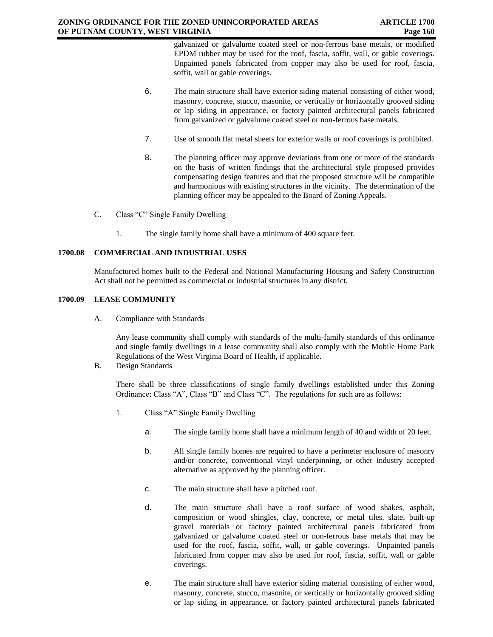galvanized or galvalume coated steel or non-ferrous base metals, or modified EPDM rubber may be used for the roof, fascia, soffit, wall, or gable coverings. Unpainted panels fabricated from copper may also be used for roof, fascia, soffit, wall or gable coverings.

- 6. The main structure shall have exterior siding material consisting of either wood, masonry, concrete, stucco, masonite, or vertically or horizontally grooved siding or lap siding in appearance, or factory painted architectural panels fabricated from galvanized or galvalume coated steel or non-ferrous base metals.
- 7. Use of smooth flat metal sheets for exterior walls or roof coverings is prohibited.
- 8. The planning officer may approve deviations from one or more of the standards on the basis of written findings that the architectural style proposed provides compensating design features and that the proposed structure will be compatible and harmonious with existing structures in the vicinity. The determination of the planning officer may be appealed to the Board of Zoning Appeals.
- C. Class "C" Single Family Dwelling
	- 1. The single family home shall have a minimum of 400 square feet.

# **1700.08 COMMERCIAL AND INDUSTRIAL USES**

Manufactured homes built to the Federal and National Manufacturing Housing and Safety Construction Act shall not be permitted as commercial or industrial structures in any district.

### **1700.09 LEASE COMMUNITY**

A. Compliance with Standards

Any lease community shall comply with standards of the multi-family standards of this ordinance and single family dwellings in a lease community shall also comply with the Mobile Home Park Regulations of the West Virginia Board of Health, if applicable.

B. Design Standards

There shall be three classifications of single family dwellings established under this Zoning Ordinance: Class "A", Class "B" and Class "C". The regulations for such are as follows:

- 1. Class "A" Single Family Dwelling
	- a. The single family home shall have a minimum length of 40 and width of 20 feet.
	- b. All single family homes are required to have a perimeter enclosure of masonry and/or concrete, conventional vinyl underpinning, or other industry accepted alternative as approved by the planning officer.
	- c. The main structure shall have a pitched roof.
	- d. The main structure shall have a roof surface of wood shakes, asphalt, composition or wood shingles, clay, concrete, or metal tiles, slate, built-up gravel materials or factory painted architectural panels fabricated from galvanized or galvalume coated steel or non-ferrous base metals that may be used for the roof, fascia, soffit, wall, or gable coverings. Unpainted panels fabricated from copper may also be used for roof, fascia, soffit, wall or gable coverings.
	- e. The main structure shall have exterior siding material consisting of either wood, masonry, concrete, stucco, masonite, or vertically or horizontally grooved siding or lap siding in appearance, or factory painted architectural panels fabricated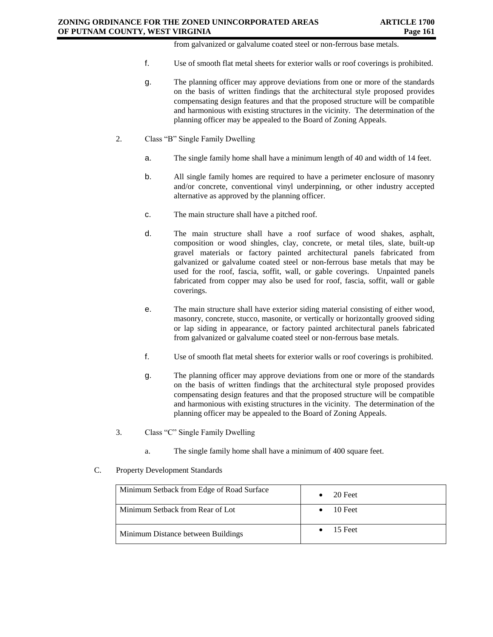from galvanized or galvalume coated steel or non-ferrous base metals.

- f. Use of smooth flat metal sheets for exterior walls or roof coverings is prohibited.
- g. The planning officer may approve deviations from one or more of the standards on the basis of written findings that the architectural style proposed provides compensating design features and that the proposed structure will be compatible and harmonious with existing structures in the vicinity. The determination of the planning officer may be appealed to the Board of Zoning Appeals.
- 2. Class "B" Single Family Dwelling
	- a. The single family home shall have a minimum length of 40 and width of 14 feet.
	- b. All single family homes are required to have a perimeter enclosure of masonry and/or concrete, conventional vinyl underpinning, or other industry accepted alternative as approved by the planning officer.
	- c. The main structure shall have a pitched roof.
	- d. The main structure shall have a roof surface of wood shakes, asphalt, composition or wood shingles, clay, concrete, or metal tiles, slate, built-up gravel materials or factory painted architectural panels fabricated from galvanized or galvalume coated steel or non-ferrous base metals that may be used for the roof, fascia, soffit, wall, or gable coverings. Unpainted panels fabricated from copper may also be used for roof, fascia, soffit, wall or gable coverings.
	- e. The main structure shall have exterior siding material consisting of either wood, masonry, concrete, stucco, masonite, or vertically or horizontally grooved siding or lap siding in appearance, or factory painted architectural panels fabricated from galvanized or galvalume coated steel or non-ferrous base metals.
	- f. Use of smooth flat metal sheets for exterior walls or roof coverings is prohibited.
	- g. The planning officer may approve deviations from one or more of the standards on the basis of written findings that the architectural style proposed provides compensating design features and that the proposed structure will be compatible and harmonious with existing structures in the vicinity. The determination of the planning officer may be appealed to the Board of Zoning Appeals.
- 3. Class "C" Single Family Dwelling
	- a. The single family home shall have a minimum of 400 square feet.
- C. Property Development Standards

| Minimum Setback from Edge of Road Surface | 20 Feet |
|-------------------------------------------|---------|
| Minimum Setback from Rear of Lot          | 10 Feet |
| Minimum Distance between Buildings        | 15 Feet |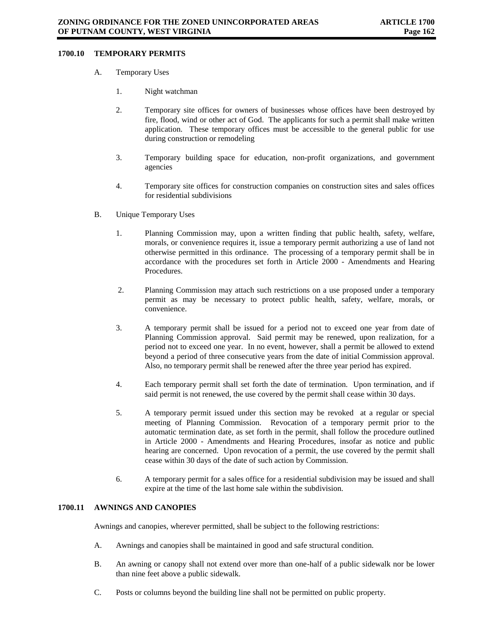# **1700.10 TEMPORARY PERMITS**

- A. Temporary Uses
	- 1. Night watchman
	- 2. Temporary site offices for owners of businesses whose offices have been destroyed by fire, flood, wind or other act of God. The applicants for such a permit shall make written application. These temporary offices must be accessible to the general public for use during construction or remodeling
	- 3. Temporary building space for education, non-profit organizations, and government agencies
	- 4. Temporary site offices for construction companies on construction sites and sales offices for residential subdivisions
- B. Unique Temporary Uses
	- 1. Planning Commission may, upon a written finding that public health, safety, welfare, morals, or convenience requires it, issue a temporary permit authorizing a use of land not otherwise permitted in this ordinance. The processing of a temporary permit shall be in accordance with the procedures set forth in Article 2000 - Amendments and Hearing Procedures.
	- 2. Planning Commission may attach such restrictions on a use proposed under a temporary permit as may be necessary to protect public health, safety, welfare, morals, or convenience.
	- 3. A temporary permit shall be issued for a period not to exceed one year from date of Planning Commission approval. Said permit may be renewed, upon realization, for a period not to exceed one year. In no event, however, shall a permit be allowed to extend beyond a period of three consecutive years from the date of initial Commission approval. Also, no temporary permit shall be renewed after the three year period has expired.
	- 4. Each temporary permit shall set forth the date of termination. Upon termination, and if said permit is not renewed, the use covered by the permit shall cease within 30 days.
	- 5. A temporary permit issued under this section may be revoked at a regular or special meeting of Planning Commission. Revocation of a temporary permit prior to the automatic termination date, as set forth in the permit, shall follow the procedure outlined in Article 2000 - Amendments and Hearing Procedures, insofar as notice and public hearing are concerned. Upon revocation of a permit, the use covered by the permit shall cease within 30 days of the date of such action by Commission.
	- 6. A temporary permit for a sales office for a residential subdivision may be issued and shall expire at the time of the last home sale within the subdivision.

#### **1700.11 AWNINGS AND CANOPIES**

Awnings and canopies, wherever permitted, shall be subject to the following restrictions:

- A. Awnings and canopies shall be maintained in good and safe structural condition.
- B. An awning or canopy shall not extend over more than one-half of a public sidewalk nor be lower than nine feet above a public sidewalk.
- C. Posts or columns beyond the building line shall not be permitted on public property.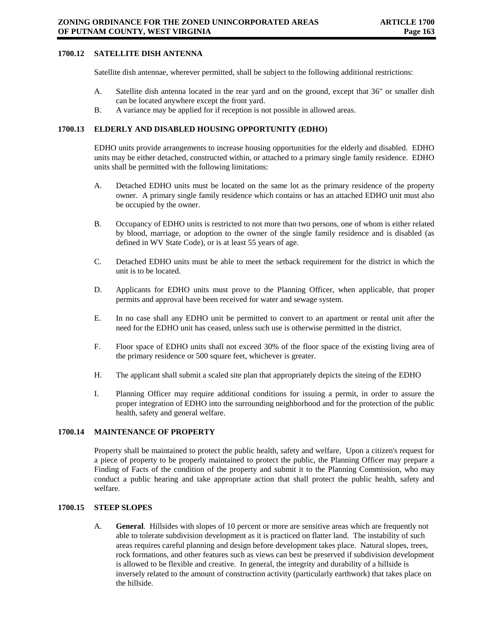# **1700.12 SATELLITE DISH ANTENNA**

Satellite dish antennae, wherever permitted, shall be subject to the following additional restrictions:

- A. Satellite dish antenna located in the rear yard and on the ground, except that 36" or smaller dish can be located anywhere except the front yard.
- B. A variance may be applied for if reception is not possible in allowed areas.

### **1700.13 ELDERLY AND DISABLED HOUSING OPPORTUNITY (EDHO)**

EDHO units provide arrangements to increase housing opportunities for the elderly and disabled. EDHO units may be either detached, constructed within, or attached to a primary single family residence. EDHO units shall be permitted with the following limitations:

- A. Detached EDHO units must be located on the same lot as the primary residence of the property owner. A primary single family residence which contains or has an attached EDHO unit must also be occupied by the owner.
- B. Occupancy of EDHO units is restricted to not more than two persons, one of whom is either related by blood, marriage, or adoption to the owner of the single family residence and is disabled (as defined in WV State Code), or is at least 55 years of age.
- C. Detached EDHO units must be able to meet the setback requirement for the district in which the unit is to be located.
- D. Applicants for EDHO units must prove to the Planning Officer, when applicable, that proper permits and approval have been received for water and sewage system.
- E. In no case shall any EDHO unit be permitted to convert to an apartment or rental unit after the need for the EDHO unit has ceased, unless such use is otherwise permitted in the district.
- F. Floor space of EDHO units shall not exceed 30% of the floor space of the existing living area of the primary residence or 500 square feet, whichever is greater.
- H. The applicant shall submit a scaled site plan that appropriately depicts the siteing of the EDHO
- I. Planning Officer may require additional conditions for issuing a permit, in order to assure the proper integration of EDHO into the surrounding neighborhood and for the protection of the public health, safety and general welfare.

### **1700.14 MAINTENANCE OF PROPERTY**

Property shall be maintained to protect the public health, safety and welfare, Upon a citizen's request for a piece of property to be properly maintained to protect the public, the Planning Officer may prepare a Finding of Facts of the condition of the property and submit it to the Planning Commission, who may conduct a public hearing and take appropriate action that shall protect the public health, safety and welfare.

#### **1700.15 STEEP SLOPES**

A. **General**. Hillsides with slopes of 10 percent or more are sensitive areas which are frequently not able to tolerate subdivision development as it is practiced on flatter land. The instability of such areas requires careful planning and design before development takes place. Natural slopes, trees, rock formations, and other features such as views can best be preserved if subdivision development is allowed to be flexible and creative. In general, the integrity and durability of a hillside is inversely related to the amount of construction activity (particularly earthwork) that takes place on the hillside.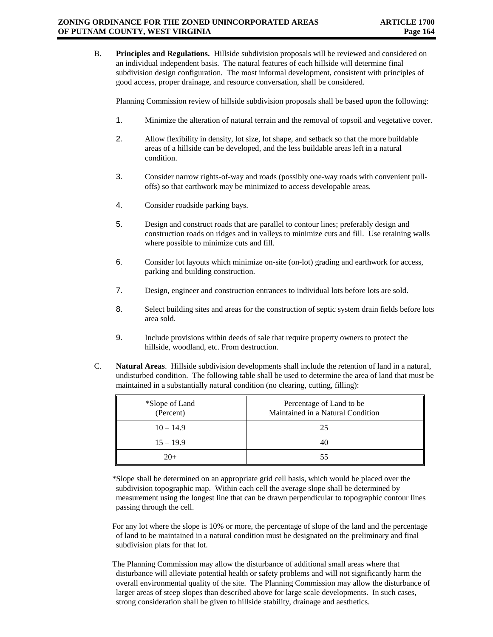B. **Principles and Regulations.** Hillside subdivision proposals will be reviewed and considered on an individual independent basis. The natural features of each hillside will determine final subdivision design configuration. The most informal development, consistent with principles of good access, proper drainage, and resource conversation, shall be considered.

Planning Commission review of hillside subdivision proposals shall be based upon the following:

- 1. Minimize the alteration of natural terrain and the removal of topsoil and vegetative cover.
- 2. Allow flexibility in density, lot size, lot shape, and setback so that the more buildable areas of a hillside can be developed, and the less buildable areas left in a natural condition.
- 3. Consider narrow rights-of-way and roads (possibly one-way roads with convenient pulloffs) so that earthwork may be minimized to access developable areas.
- 4. Consider roadside parking bays.
- 5. Design and construct roads that are parallel to contour lines; preferably design and construction roads on ridges and in valleys to minimize cuts and fill. Use retaining walls where possible to minimize cuts and fill.
- 6. Consider lot layouts which minimize on-site (on-lot) grading and earthwork for access, parking and building construction.
- 7. Design, engineer and construction entrances to individual lots before lots are sold.
- 8. Select building sites and areas for the construction of septic system drain fields before lots area sold.
- 9. Include provisions within deeds of sale that require property owners to protect the hillside, woodland, etc. From destruction.
- C. **Natural Areas**. Hillside subdivision developments shall include the retention of land in a natural, undisturbed condition. The following table shall be used to determine the area of land that must be maintained in a substantially natural condition (no clearing, cutting, filling):

| *Slope of Land<br>(Percent) | Percentage of Land to be<br>Maintained in a Natural Condition |
|-----------------------------|---------------------------------------------------------------|
| $10 - 14.9$                 | 25                                                            |
| $15 - 19.9$                 | 40                                                            |
| $20+$                       | 55                                                            |

\*Slope shall be determined on an appropriate grid cell basis, which would be placed over the subdivision topographic map. Within each cell the average slope shall be determined by measurement using the longest line that can be drawn perpendicular to topographic contour lines passing through the cell.

For any lot where the slope is 10% or more, the percentage of slope of the land and the percentage of land to be maintained in a natural condition must be designated on the preliminary and final subdivision plats for that lot.

The Planning Commission may allow the disturbance of additional small areas where that disturbance will alleviate potential health or safety problems and will not significantly harm the overall environmental quality of the site. The Planning Commission may allow the disturbance of larger areas of steep slopes than described above for large scale developments. In such cases, strong consideration shall be given to hillside stability, drainage and aesthetics.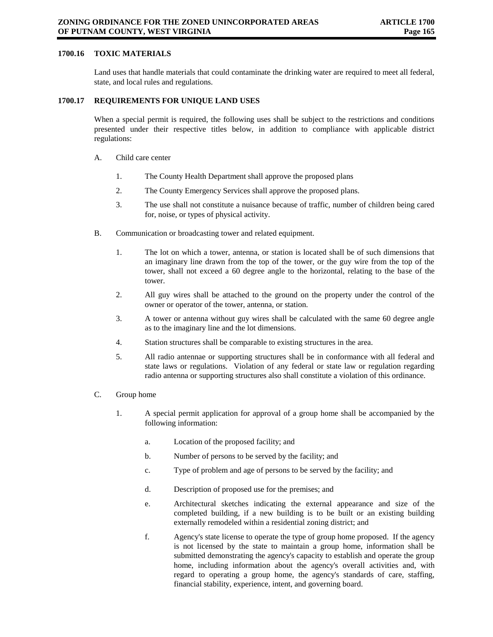# **1700.16 TOXIC MATERIALS**

Land uses that handle materials that could contaminate the drinking water are required to meet all federal, state, and local rules and regulations.

## **1700.17 REQUIREMENTS FOR UNIQUE LAND USES**

When a special permit is required, the following uses shall be subject to the restrictions and conditions presented under their respective titles below, in addition to compliance with applicable district regulations:

- A. Child care center
	- 1. The County Health Department shall approve the proposed plans
	- 2. The County Emergency Services shall approve the proposed plans.
	- 3. The use shall not constitute a nuisance because of traffic, number of children being cared for, noise, or types of physical activity.
- B. Communication or broadcasting tower and related equipment.
	- 1. The lot on which a tower, antenna, or station is located shall be of such dimensions that an imaginary line drawn from the top of the tower, or the guy wire from the top of the tower, shall not exceed a 60 degree angle to the horizontal, relating to the base of the tower.
	- 2. All guy wires shall be attached to the ground on the property under the control of the owner or operator of the tower, antenna, or station.
	- 3. A tower or antenna without guy wires shall be calculated with the same 60 degree angle as to the imaginary line and the lot dimensions.
	- 4. Station structures shall be comparable to existing structures in the area.
	- 5. All radio antennae or supporting structures shall be in conformance with all federal and state laws or regulations. Violation of any federal or state law or regulation regarding radio antenna or supporting structures also shall constitute a violation of this ordinance.
- C. Group home
	- 1. A special permit application for approval of a group home shall be accompanied by the following information:
		- a. Location of the proposed facility; and
		- b. Number of persons to be served by the facility; and
		- c. Type of problem and age of persons to be served by the facility; and
		- d. Description of proposed use for the premises; and
		- e. Architectural sketches indicating the external appearance and size of the completed building, if a new building is to be built or an existing building externally remodeled within a residential zoning district; and
		- f. Agency's state license to operate the type of group home proposed. If the agency is not licensed by the state to maintain a group home, information shall be submitted demonstrating the agency's capacity to establish and operate the group home, including information about the agency's overall activities and, with regard to operating a group home, the agency's standards of care, staffing, financial stability, experience, intent, and governing board.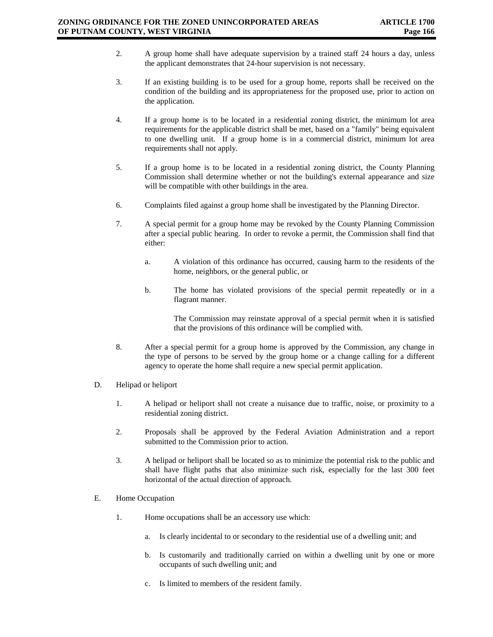- 2. A group home shall have adequate supervision by a trained staff 24 hours a day, unless the applicant demonstrates that 24-hour supervision is not necessary.
- 3. If an existing building is to be used for a group home, reports shall be received on the condition of the building and its appropriateness for the proposed use, prior to action on the application.
- 4. If a group home is to be located in a residential zoning district, the minimum lot area requirements for the applicable district shall be met, based on a "family" being equivalent to one dwelling unit. If a group home is in a commercial district, minimum lot area requirements shall not apply.
- 5. If a group home is to be located in a residential zoning district, the County Planning Commission shall determine whether or not the building's external appearance and size will be compatible with other buildings in the area.
- 6. Complaints filed against a group home shall be investigated by the Planning Director.
- 7. A special permit for a group home may be revoked by the County Planning Commission after a special public hearing. In order to revoke a permit, the Commission shall find that either:
	- a. A violation of this ordinance has occurred, causing harm to the residents of the home, neighbors, or the general public, or
	- b. The home has violated provisions of the special permit repeatedly or in a flagrant manner.

The Commission may reinstate approval of a special permit when it is satisfied that the provisions of this ordinance will be complied with.

- 8. After a special permit for a group home is approved by the Commission, any change in the type of persons to be served by the group home or a change calling for a different agency to operate the home shall require a new special permit application.
- D. Helipad or heliport
	- 1. A helipad or heliport shall not create a nuisance due to traffic, noise, or proximity to a residential zoning district.
	- 2. Proposals shall be approved by the Federal Aviation Administration and a report submitted to the Commission prior to action.
	- 3. A helipad or heliport shall be located so as to minimize the potential risk to the public and shall have flight paths that also minimize such risk, especially for the last 300 feet horizontal of the actual direction of approach.
- E. Home Occupation
	- 1. Home occupations shall be an accessory use which:
		- a. Is clearly incidental to or secondary to the residential use of a dwelling unit; and
		- b. Is customarily and traditionally carried on within a dwelling unit by one or more occupants of such dwelling unit; and
		- c. Is limited to members of the resident family.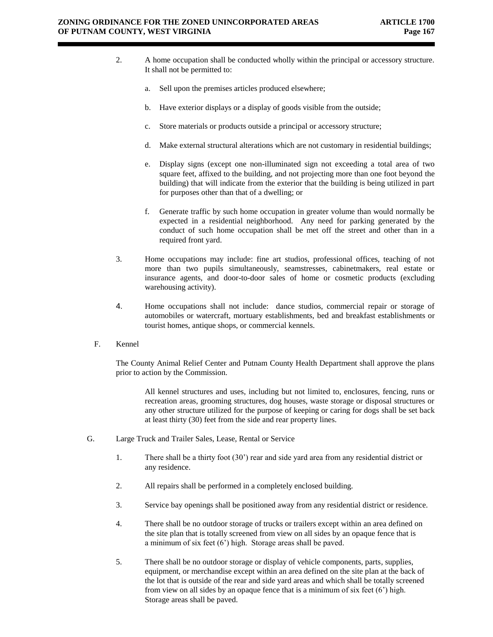- 2. A home occupation shall be conducted wholly within the principal or accessory structure. It shall not be permitted to:
	- a. Sell upon the premises articles produced elsewhere;
	- b. Have exterior displays or a display of goods visible from the outside;
	- c. Store materials or products outside a principal or accessory structure;
	- d. Make external structural alterations which are not customary in residential buildings;
	- e. Display signs (except one non-illuminated sign not exceeding a total area of two square feet, affixed to the building, and not projecting more than one foot beyond the building) that will indicate from the exterior that the building is being utilized in part for purposes other than that of a dwelling; or
	- f. Generate traffic by such home occupation in greater volume than would normally be expected in a residential neighborhood. Any need for parking generated by the conduct of such home occupation shall be met off the street and other than in a required front yard.
- 3. Home occupations may include: fine art studios, professional offices, teaching of not more than two pupils simultaneously, seamstresses, cabinetmakers, real estate or insurance agents, and door-to-door sales of home or cosmetic products (excluding warehousing activity).
- 4. Home occupations shall not include: dance studios, commercial repair or storage of automobiles or watercraft, mortuary establishments, bed and breakfast establishments or tourist homes, antique shops, or commercial kennels.
- F. Kennel

The County Animal Relief Center and Putnam County Health Department shall approve the plans prior to action by the Commission.

All kennel structures and uses, including but not limited to, enclosures, fencing, runs or recreation areas, grooming structures, dog houses, waste storage or disposal structures or any other structure utilized for the purpose of keeping or caring for dogs shall be set back at least thirty (30) feet from the side and rear property lines.

- G. Large Truck and Trailer Sales, Lease, Rental or Service
	- 1. There shall be a thirty foot (30') rear and side yard area from any residential district or any residence.
	- 2. All repairs shall be performed in a completely enclosed building.
	- 3. Service bay openings shall be positioned away from any residential district or residence.
	- 4. There shall be no outdoor storage of trucks or trailers except within an area defined on the site plan that is totally screened from view on all sides by an opaque fence that is a minimum of six feet (6') high. Storage areas shall be paved.
	- 5. There shall be no outdoor storage or display of vehicle components, parts, supplies, equipment, or merchandise except within an area defined on the site plan at the back of the lot that is outside of the rear and side yard areas and which shall be totally screened from view on all sides by an opaque fence that is a minimum of six feet (6') high. Storage areas shall be paved.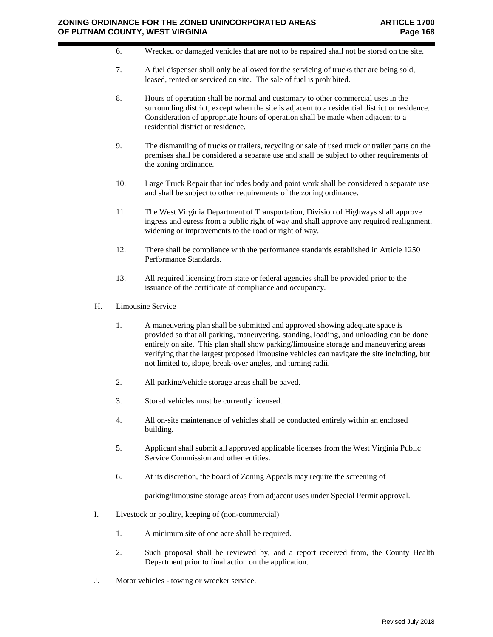- 6. Wrecked or damaged vehicles that are not to be repaired shall not be stored on the site.
- 7. A fuel dispenser shall only be allowed for the servicing of trucks that are being sold, leased, rented or serviced on site. The sale of fuel is prohibited.
- 8. Hours of operation shall be normal and customary to other commercial uses in the surrounding district, except when the site is adjacent to a residential district or residence. Consideration of appropriate hours of operation shall be made when adjacent to a residential district or residence.
- 9. The dismantling of trucks or trailers, recycling or sale of used truck or trailer parts on the premises shall be considered a separate use and shall be subject to other requirements of the zoning ordinance.
- 10. Large Truck Repair that includes body and paint work shall be considered a separate use and shall be subject to other requirements of the zoning ordinance.
- 11. The West Virginia Department of Transportation, Division of Highways shall approve ingress and egress from a public right of way and shall approve any required realignment, widening or improvements to the road or right of way.
- 12. There shall be compliance with the performance standards established in Article 1250 Performance Standards.
- 13. All required licensing from state or federal agencies shall be provided prior to the issuance of the certificate of compliance and occupancy.
- H. Limousine Service
	- 1. A maneuvering plan shall be submitted and approved showing adequate space is provided so that all parking, maneuvering, standing, loading, and unloading can be done entirely on site. This plan shall show parking/limousine storage and maneuvering areas verifying that the largest proposed limousine vehicles can navigate the site including, but not limited to, slope, break-over angles, and turning radii.
	- 2. All parking/vehicle storage areas shall be paved.
	- 3. Stored vehicles must be currently licensed.
	- 4. All on-site maintenance of vehicles shall be conducted entirely within an enclosed building.
	- 5. Applicant shall submit all approved applicable licenses from the West Virginia Public Service Commission and other entities.
	- 6. At its discretion, the board of Zoning Appeals may require the screening of

parking/limousine storage areas from adjacent uses under Special Permit approval.

- I. Livestock or poultry, keeping of (non-commercial)
	- 1. A minimum site of one acre shall be required.
	- 2. Such proposal shall be reviewed by, and a report received from, the County Health Department prior to final action on the application.
- J. Motor vehicles towing or wrecker service.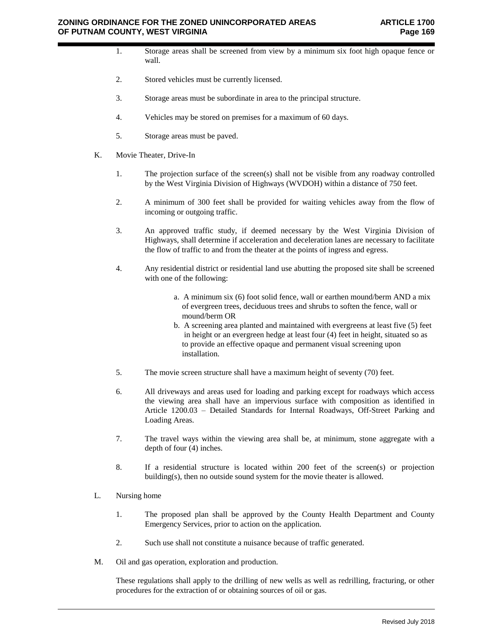- 1. Storage areas shall be screened from view by a minimum six foot high opaque fence or wall.
- 2. Stored vehicles must be currently licensed.
- 3. Storage areas must be subordinate in area to the principal structure.
- 4. Vehicles may be stored on premises for a maximum of 60 days.
- 5. Storage areas must be paved.
- K. Movie Theater, Drive-In
	- 1. The projection surface of the screen(s) shall not be visible from any roadway controlled by the West Virginia Division of Highways (WVDOH) within a distance of 750 feet.
	- 2. A minimum of 300 feet shall be provided for waiting vehicles away from the flow of incoming or outgoing traffic.
	- 3. An approved traffic study, if deemed necessary by the West Virginia Division of Highways, shall determine if acceleration and deceleration lanes are necessary to facilitate the flow of traffic to and from the theater at the points of ingress and egress.
	- 4. Any residential district or residential land use abutting the proposed site shall be screened with one of the following:
		- a. A minimum six (6) foot solid fence, wall or earthen mound/berm AND a mix of evergreen trees, deciduous trees and shrubs to soften the fence, wall or mound/berm OR
		- b. A screening area planted and maintained with evergreens at least five (5) feet in height or an evergreen hedge at least four (4) feet in height, situated so as to provide an effective opaque and permanent visual screening upon installation.
	- 5. The movie screen structure shall have a maximum height of seventy (70) feet.
	- 6. All driveways and areas used for loading and parking except for roadways which access the viewing area shall have an impervious surface with composition as identified in Article 1200.03 – Detailed Standards for Internal Roadways, Off-Street Parking and Loading Areas.
	- 7. The travel ways within the viewing area shall be, at minimum, stone aggregate with a depth of four (4) inches.
	- 8. If a residential structure is located within 200 feet of the screen(s) or projection building(s), then no outside sound system for the movie theater is allowed.
- L. Nursing home
	- 1. The proposed plan shall be approved by the County Health Department and County Emergency Services, prior to action on the application.
	- 2. Such use shall not constitute a nuisance because of traffic generated.
- M. Oil and gas operation, exploration and production.

These regulations shall apply to the drilling of new wells as well as redrilling, fracturing, or other procedures for the extraction of or obtaining sources of oil or gas.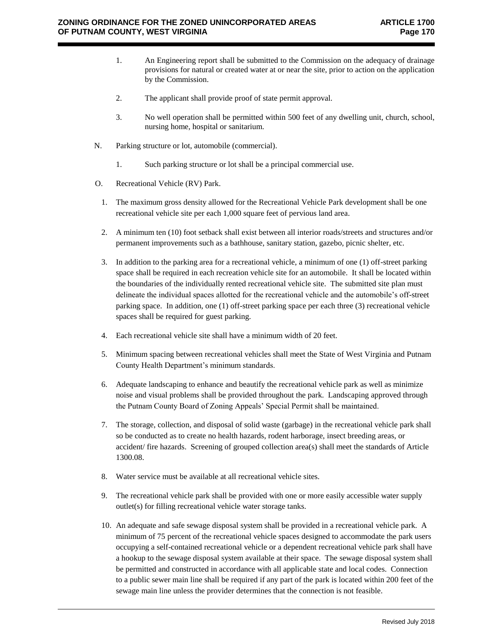- 1. An Engineering report shall be submitted to the Commission on the adequacy of drainage provisions for natural or created water at or near the site, prior to action on the application by the Commission.
- 2. The applicant shall provide proof of state permit approval.
- 3. No well operation shall be permitted within 500 feet of any dwelling unit, church, school, nursing home, hospital or sanitarium.
- N. Parking structure or lot, automobile (commercial).
	- 1. Such parking structure or lot shall be a principal commercial use.
- O. Recreational Vehicle (RV) Park.
	- 1. The maximum gross density allowed for the Recreational Vehicle Park development shall be one recreational vehicle site per each 1,000 square feet of pervious land area.
	- 2. A minimum ten (10) foot setback shall exist between all interior roads/streets and structures and/or permanent improvements such as a bathhouse, sanitary station, gazebo, picnic shelter, etc.
	- 3. In addition to the parking area for a recreational vehicle, a minimum of one (1) off-street parking space shall be required in each recreation vehicle site for an automobile. It shall be located within the boundaries of the individually rented recreational vehicle site. The submitted site plan must delineate the individual spaces allotted for the recreational vehicle and the automobile's off-street parking space. In addition, one (1) off-street parking space per each three (3) recreational vehicle spaces shall be required for guest parking.
	- 4. Each recreational vehicle site shall have a minimum width of 20 feet.
	- 5. Minimum spacing between recreational vehicles shall meet the State of West Virginia and Putnam County Health Department's minimum standards.
	- 6. Adequate landscaping to enhance and beautify the recreational vehicle park as well as minimize noise and visual problems shall be provided throughout the park. Landscaping approved through the Putnam County Board of Zoning Appeals' Special Permit shall be maintained.
	- 7. The storage, collection, and disposal of solid waste (garbage) in the recreational vehicle park shall so be conducted as to create no health hazards, rodent harborage, insect breeding areas, or accident/ fire hazards. Screening of grouped collection area(s) shall meet the standards of Article 1300.08.
	- 8. Water service must be available at all recreational vehicle sites.
	- 9. The recreational vehicle park shall be provided with one or more easily accessible water supply outlet(s) for filling recreational vehicle water storage tanks.
	- 10. An adequate and safe sewage disposal system shall be provided in a recreational vehicle park. A minimum of 75 percent of the recreational vehicle spaces designed to accommodate the park users occupying a self-contained recreational vehicle or a dependent recreational vehicle park shall have a hookup to the sewage disposal system available at their space. The sewage disposal system shall be permitted and constructed in accordance with all applicable state and local codes. Connection to a public sewer main line shall be required if any part of the park is located within 200 feet of the sewage main line unless the provider determines that the connection is not feasible.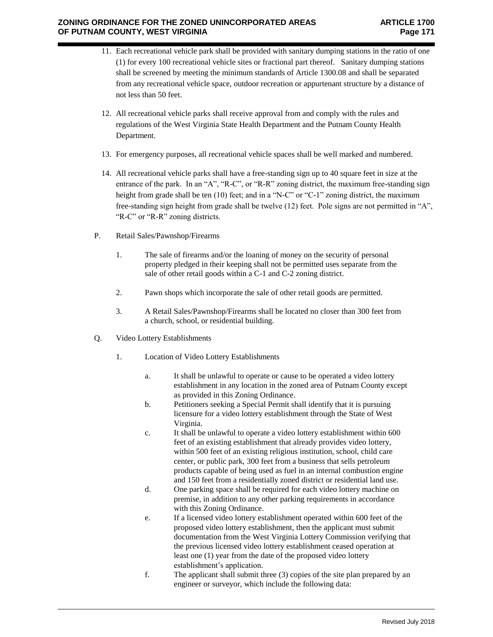- 11. Each recreational vehicle park shall be provided with sanitary dumping stations in the ratio of one (1) for every 100 recreational vehicle sites or fractional part thereof. Sanitary dumping stations shall be screened by meeting the minimum standards of Article 1300.08 and shall be separated from any recreational vehicle space, outdoor recreation or appurtenant structure by a distance of not less than 50 feet.
- 12. All recreational vehicle parks shall receive approval from and comply with the rules and regulations of the West Virginia State Health Department and the Putnam County Health Department.
- 13. For emergency purposes, all recreational vehicle spaces shall be well marked and numbered.
- 14. All recreational vehicle parks shall have a free-standing sign up to 40 square feet in size at the entrance of the park. In an "A", "R-C", or "R-R" zoning district, the maximum free-standing sign height from grade shall be ten (10) feet; and in a "N-C" or "C-1" zoning district, the maximum free-standing sign height from grade shall be twelve (12) feet. Pole signs are not permitted in "A", "R-C" or "R-R" zoning districts.
- P. Retail Sales/Pawnshop/Firearms
	- 1. The sale of firearms and/or the loaning of money on the security of personal property pledged in their keeping shall not be permitted uses separate from the sale of other retail goods within a C-1 and C-2 zoning district.
	- 2. Pawn shops which incorporate the sale of other retail goods are permitted.
	- 3. A Retail Sales/Pawnshop/Firearms shall be located no closer than 300 feet from a church, school, or residential building.
- Q. Video Lottery Establishments
	- 1. Location of Video Lottery Establishments
		- a. It shall be unlawful to operate or cause to be operated a video lottery establishment in any location in the zoned area of Putnam County except as provided in this Zoning Ordinance.
		- b. Petitioners seeking a Special Permit shall identify that it is pursuing licensure for a video lottery establishment through the State of West Virginia.
		- c. It shall be unlawful to operate a video lottery establishment within 600 feet of an existing establishment that already provides video lottery, within 500 feet of an existing religious institution, school, child care center, or public park, 300 feet from a business that sells petroleum products capable of being used as fuel in an internal combustion engine and 150 feet from a residentially zoned district or residential land use.
		- d. One parking space shall be required for each video lottery machine on premise, in addition to any other parking requirements in accordance with this Zoning Ordinance.
		- e. If a licensed video lottery establishment operated within 600 feet of the proposed video lottery establishment, then the applicant must submit documentation from the West Virginia Lottery Commission verifying that the previous licensed video lottery establishment ceased operation at least one (1) year from the date of the proposed video lottery establishment's application.
		- f. The applicant shall submit three (3) copies of the site plan prepared by an engineer or surveyor, which include the following data: